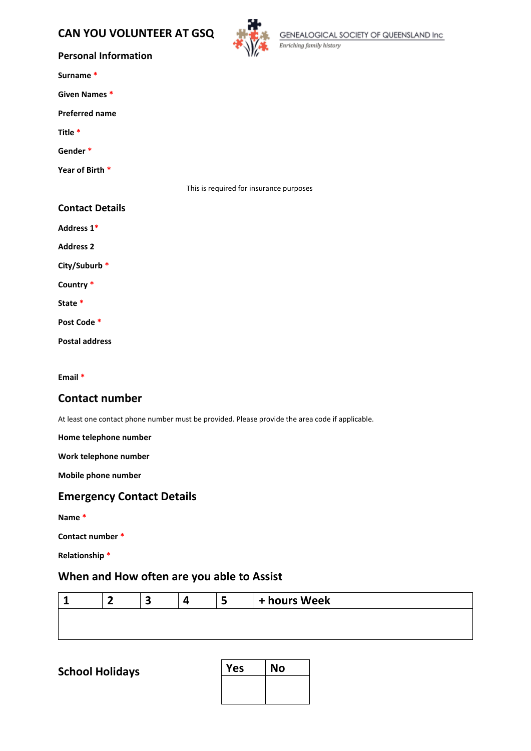# **CAN YOU VOLUNTEER AT GSQ**



GENEALOGICAL SOCIETY OF QUEENSLAND Inc<br>Enriching family history

#### **Personal Information**

| Surname |  |
|---------|--|
|---------|--|

**Given Names \***

**Preferred name**

**Title \***

**Gender \***

**Year of Birth \***

This is required for insurance purposes

#### **Contact Details**

**Address 1\***

**Address 2**

**City/Suburb \***

**Country \***

**State \***

**Post Code \***

**Postal address**

**Email \***

### **Contact number**

At least one contact phone number must be provided. Please provide the area code if applicable.

**Home telephone number**

**Work telephone number**

**Mobile phone number**

### **Emergency Contact Details**

**Name \***

**Contact number \***

**Relationship \***

## **When and How often are you able to Assist**

|  |  | + hours Week |
|--|--|--------------|
|  |  |              |

**School Holidays** 

| Yes | <b>No</b> |
|-----|-----------|
|     |           |